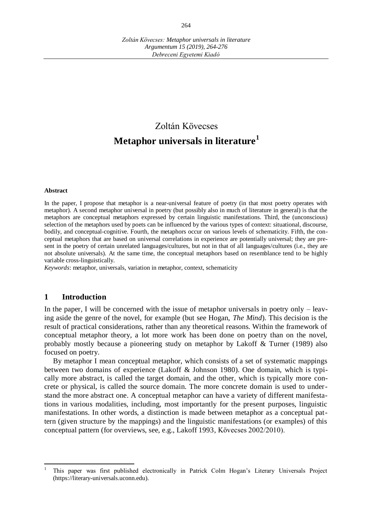# Zoltán Kövecses **Metaphor universals in literature<sup>1</sup>**

#### **Abstract**

In the paper, I propose that metaphor is a near-universal feature of poetry (in that most poetry operates with metaphor). A second metaphor universal in poetry (but possibly also in much of literature in general) is that the metaphors are conceptual metaphors expressed by certain linguistic manifestations. Third, the (unconscious) selection of the metaphors used by poets can be influenced by the various types of context: situational, discourse, bodily, and conceptual-cognitive. Fourth, the metaphors occur on various levels of schematicity. Fifth, the conceptual metaphors that are based on universal correlations in experience are potentially universal; they are present in the poetry of certain unrelated languages/cultures, but not in that of all languages/cultures (i.e., they are not absolute universals). At the same time, the conceptual metaphors based on resemblance tend to be highly variable cross-linguistically.

*Keywords*: metaphor, universals, variation in metaphor, context, schematicity

## **1 Introduction**

In the paper, I will be concerned with the issue of metaphor universals in poetry only  $-$  leaving aside the genre of the novel, for example (but see Hogan, *The Mind*). This decision is the result of practical considerations, rather than any theoretical reasons. Within the framework of conceptual metaphor theory, a lot more work has been done on poetry than on the novel, probably mostly because a pioneering study on metaphor by Lakoff & Turner (1989) also focused on poetry.

By metaphor I mean conceptual metaphor, which consists of a set of systematic mappings between two domains of experience (Lakoff & Johnson 1980). One domain, which is typically more abstract, is called the target domain, and the other, which is typically more concrete or physical, is called the source domain. The more concrete domain is used to understand the more abstract one. A conceptual metaphor can have a variety of different manifestations in various modalities, including, most importantly for the present purposes, linguistic manifestations. In other words, a distinction is made between metaphor as a conceptual pattern (given structure by the mappings) and the linguistic manifestations (or examples) of this conceptual pattern (for overviews, see, e.g., Lakoff 1993, Kövecses 2002/2010).

 $\overline{a}$ 1 This paper was first published electronically in Patrick Colm Hogan's Literary Universals Project (https://literary-universals.uconn.edu).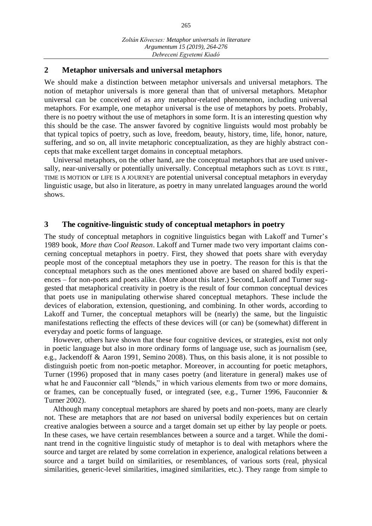## **2 Metaphor universals and universal metaphors**

We should make a distinction between metaphor universals and universal metaphors. The notion of metaphor universals is more general than that of universal metaphors. Metaphor universal can be conceived of as any metaphor-related phenomenon, including universal metaphors. For example, one metaphor universal is the use of metaphors by poets. Probably, there is no poetry without the use of metaphors in some form. It is an interesting question why this should be the case. The answer favored by cognitive linguists would most probably be that typical topics of poetry, such as love, freedom, beauty, history, time, life, honor, nature, suffering, and so on, all invite metaphoric conceptualization, as they are highly abstract concepts that make excellent target domains in conceptual metaphors.

Universal metaphors, on the other hand, are the conceptual metaphors that are used universally, near-universally or potentially universally. Conceptual metaphors such as LOVE IS FIRE, TIME IS MOTION or LIFE IS A JOURNEY are potential universal conceptual metaphors in everyday linguistic usage, but also in literature, as poetry in many unrelated languages around the world shows.

## **3 The cognitive-linguistic study of conceptual metaphors in poetry**

The study of conceptual metaphors in cognitive linguistics began with Lakoff and Turner's 1989 book, *More than Cool Reason*. Lakoff and Turner made two very important claims concerning conceptual metaphors in poetry. First, they showed that poets share with everyday people most of the conceptual metaphors they use in poetry. The reason for this is that the conceptual metaphors such as the ones mentioned above are based on shared bodily experiences – for non-poets and poets alike. (More about this later.) Second, Lakoff and Turner suggested that metaphorical creativity in poetry is the result of four common conceptual devices that poets use in manipulating otherwise shared conceptual metaphors. These include the devices of elaboration, extension, questioning, and combining. In other words, according to Lakoff and Turner, the conceptual metaphors will be (nearly) the same, but the linguistic manifestations reflecting the effects of these devices will (or can) be (somewhat) different in everyday and poetic forms of language.

However, others have shown that these four cognitive devices, or strategies, exist not only in poetic language but also in more ordinary forms of language use, such as journalism (see, e.g., Jackendoff & Aaron 1991, Semino 2008). Thus, on this basis alone, it is not possible to distinguish poetic from non-poetic metaphor. Moreover, in accounting for poetic metaphors, Turner (1996) proposed that in many cases poetry (and literature in general) makes use of what he and Fauconnier call "blends," in which various elements from two or more domains, or frames, can be conceptually fused, or integrated (see, e.g., Turner 1996, Fauconnier & Turner 2002).

Although many conceptual metaphors are shared by poets and non-poets, many are clearly not. These are metaphors that are *not* based on universal bodily experiences but on certain creative analogies between a source and a target domain set up either by lay people or poets. In these cases, we have certain resemblances between a source and a target. While the dominant trend in the cognitive linguistic study of metaphor is to deal with metaphors where the source and target are related by some correlation in experience, analogical relations between a source and a target build on similarities, or resemblances, of various sorts (real, physical similarities, generic-level similarities, imagined similarities, etc.). They range from simple to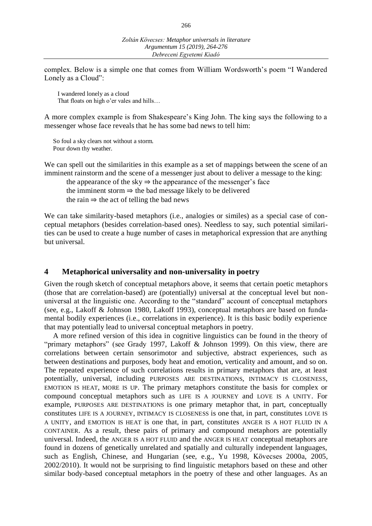complex. Below is a simple one that comes from William Wordsworth's poem "I Wandered Lonely as a Cloud":

I wandered lonely as a cloud That floats on high o'er vales and hills…

A more complex example is from Shakespeare's King John. The king says the following to a messenger whose face reveals that he has some bad news to tell him:

So foul a sky clears not without a storm. Pour down thy weather.

We can spell out the similarities in this example as a set of mappings between the scene of an imminent rainstorm and the scene of a messenger just about to deliver a message to the king:

the appearance of the sky  $\Rightarrow$  the appearance of the messenger's face

the imminent storm  $\Rightarrow$  the bad message likely to be delivered the rain  $\Rightarrow$  the act of telling the bad news

We can take similarity-based metaphors (i.e., analogies or similes) as a special case of conceptual metaphors (besides correlation-based ones). Needless to say, such potential similarities can be used to create a huge number of cases in metaphorical expression that are anything but universal.

## **4 Metaphorical universality and non-universality in poetry**

Given the rough sketch of conceptual metaphors above, it seems that certain poetic metaphors (those that are correlation-based) are (potentially) universal at the conceptual level but nonuniversal at the linguistic one. According to the "standard" account of conceptual metaphors (see, e.g., Lakoff & Johnson 1980, Lakoff 1993), conceptual metaphors are based on fundamental bodily experiences (i.e., correlations in experience). It is this basic bodily experience that may potentially lead to universal conceptual metaphors in poetry.

A more refined version of this idea in cognitive linguistics can be found in the theory of "primary metaphors" (see Grady 1997, Lakoff & Johnson 1999). On this view, there are correlations between certain sensorimotor and subjective, abstract experiences, such as between destinations and purposes, body heat and emotion, verticality and amount, and so on. The repeated experience of such correlations results in primary metaphors that are, at least potentially, universal, including PURPOSES ARE DESTINATIONS, INTIMACY IS CLOSENESS, EMOTION IS HEAT, MORE IS UP. The primary metaphors constitute the basis for complex or compound conceptual metaphors such as LIFE IS A JOURNEY and LOVE IS A UNITY. For example, PURPOSES ARE DESTINATIONS is one primary metaphor that, in part, conceptually constitutes LIFE IS A JOURNEY, INTIMACY IS CLOSENESS is one that, in part, constitutes LOVE IS A UNITY, and EMOTION IS HEAT is one that, in part, constitutes ANGER IS A HOT FLUID IN A CONTAINER. As a result, these pairs of primary and compound metaphors are potentially universal. Indeed, the ANGER IS A HOT FLUID and the ANGER IS HEAT conceptual metaphors are found in dozens of genetically unrelated and spatially and culturally independent languages, such as English, Chinese, and Hungarian (see, e.g., Yu 1998, Kövecses 2000a, 2005, 2002/2010). It would not be surprising to find linguistic metaphors based on these and other similar body-based conceptual metaphors in the poetry of these and other languages. As an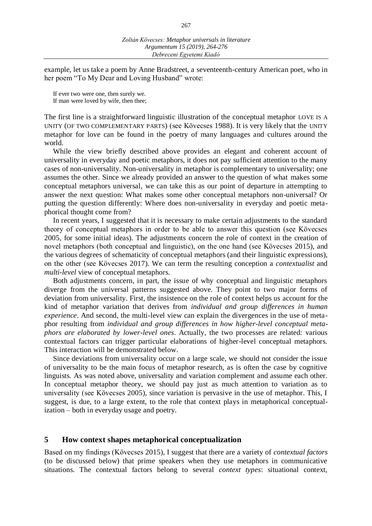example, let us take a poem by Anne Bradstreet, a seventeenth-century American poet, who in her poem "To My Dear and Loving Husband" wrote:

If ever two were one, then surely we. If man were loved by wife, then thee;

The first line is a straightforward linguistic illustration of the conceptual metaphor LOVE IS A UNITY (OF TWO COMPLEMENTARY PARTS) (see Kövecses 1988). It is very likely that the UNITY metaphor for love can be found in the poetry of many languages and cultures around the world.

While the view briefly described above provides an elegant and coherent account of universality in everyday and poetic metaphors, it does not pay sufficient attention to the many cases of non-universality. Non-universality in metaphor is complementary to universality; one assumes the other. Since we already provided an answer to the question of what makes some conceptual metaphors universal, we can take this as our point of departure in attempting to answer the next question: What makes some other conceptual metaphors non-universal? Or putting the question differently: Where does non-universality in everyday and poetic metaphorical thought come from?

In recent years, I suggested that it is necessary to make certain adjustments to the standard theory of conceptual metaphors in order to be able to answer this question (see Kövecses 2005, for some initial ideas). The adjustments concern the role of context in the creation of novel metaphors (both conceptual and linguistic), on the one hand (see Kövecses 2015), and the various degrees of schematicity of conceptual metaphors (and their linguistic expressions), on the other (see Kövecses 2017). We can term the resulting conception a *contextualist* and *multi-level* view of conceptual metaphors.

Both adjustments concern, in part, the issue of why conceptual and linguistic metaphors diverge from the universal patterns suggested above. They point to two major forms of deviation from universality. First, the insistence on the role of context helps us account for the kind of metaphor variation that derives from *individual and group differences in human experience*. And second, the multi-level view can explain the divergences in the use of metaphor resulting from *individual and group differences in how higher-level conceptual metaphors are elaborated by lower-level ones*. Actually, the two processes are related: various contextual factors can trigger particular elaborations of higher-level conceptual metaphors. This interaction will be demonstrated below.

Since deviations from universality occur on a large scale, we should not consider the issue of universality to be the main focus of metaphor research, as is often the case by cognitive linguists. As was noted above, universality and variation complement and assume each other. In conceptual metaphor theory, we should pay just as much attention to variation as to universality (see Kövecses 2005), since variation is pervasive in the use of metaphor. This, I suggest, is due, to a large extent, to the role that context plays in metaphorical conceptualization – both in everyday usage and poetry.

## **5 How context shapes metaphorical conceptualization**

Based on my findings (Kövecses 2015), I suggest that there are a variety of *contextual factors* (to be discussed below) that prime speakers when they use metaphors in communicative situations. The contextual factors belong to several *context types*: situational context,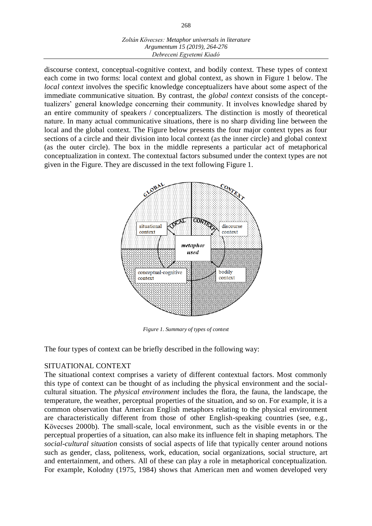discourse context, conceptual-cognitive context, and bodily context. These types of context each come in two forms: local context and global context, as shown in Figure 1 below. The *local context* involves the specific knowledge conceptualizers have about some aspect of the immediate communicative situation. By contrast, the *global context* consists of the concepttualizers' general knowledge concerning their community. It involves knowledge shared by an entire community of speakers / conceptualizers. The distinction is mostly of theoretical nature. In many actual communicative situations, there is no sharp dividing line between the local and the global context. The Figure below presents the four major context types as four sections of a circle and their division into local context (as the inner circle) and global context (as the outer circle). The box in the middle represents a particular act of metaphorical conceptualization in context. The contextual factors subsumed under the context types are not given in the Figure. They are discussed in the text following Figure 1.



*Figure 1. Summary of types of context*

The four types of context can be briefly described in the following way:

## SITUATIONAL CONTEXT

The situational context comprises a variety of different contextual factors. Most commonly this type of context can be thought of as including the physical environment and the socialcultural situation. The *physical environment* includes the flora, the fauna, the landscape, the temperature, the weather, perceptual properties of the situation, and so on. For example, it is a common observation that American English metaphors relating to the physical environment are characteristically different from those of other English-speaking countries (see, e.g., Kövecses 2000b). The small-scale, local environment, such as the visible events in or the perceptual properties of a situation, can also make its influence felt in shaping metaphors. The *social-cultural situation* consists of social aspects of life that typically center around notions such as gender, class, politeness, work, education, social organizations, social structure, art and entertainment, and others. All of these can play a role in metaphorical conceptualization. For example, Kolodny (1975, 1984) shows that American men and women developed very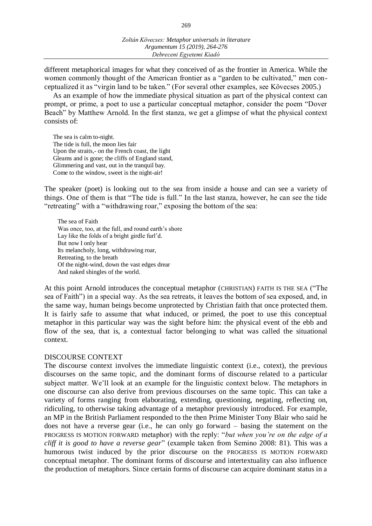different metaphorical images for what they conceived of as the frontier in America. While the women commonly thought of the American frontier as a "garden to be cultivated," men conceptualized it as "virgin land to be taken." (For several other examples, see Kövecses 2005.)

As an example of how the immediate physical situation as part of the physical context can prompt, or prime, a poet to use a particular conceptual metaphor, consider the poem "Dover Beach" by Matthew Arnold. In the first stanza, we get a glimpse of what the physical context consists of:

The sea is calm to-night. The tide is full, the moon lies fair Upon the straits,- on the French coast, the light Gleams and is gone; the cliffs of England stand, Glimmering and vast, out in the tranquil bay. Come to the window, sweet is the night-air!

The speaker (poet) is looking out to the sea from inside a house and can see a variety of things. One of them is that "The tide is full." In the last stanza, however, he can see the tide "retreating" with a "withdrawing roar," exposing the bottom of the sea:

The sea of Faith Was once, too, at the full, and round earth's shore Lay like the folds of a bright girdle furl'd. But now I only hear Its melancholy, long, withdrawing roar, Retreating, to the breath Of the night-wind, down the vast edges drear And naked shingles of the world.

At this point Arnold introduces the conceptual metaphor (CHRISTIAN) FAITH IS THE SEA ("The sea of Faith") in a special way. As the sea retreats, it leaves the bottom of sea exposed, and, in the same way, human beings become unprotected by Christian faith that once protected them. It is fairly safe to assume that what induced, or primed, the poet to use this conceptual metaphor in this particular way was the sight before him: the physical event of the ebb and flow of the sea, that is, a contextual factor belonging to what was called the situational context.

### DISCOURSE CONTEXT

The discourse context involves the immediate linguistic context (i.e., cotext), the previous discourses on the same topic, and the dominant forms of discourse related to a particular subject matter. We'll look at an example for the linguistic context below. The metaphors in one discourse can also derive from previous discourses on the same topic. This can take a variety of forms ranging from elaborating, extending, questioning, negating, reflecting on, ridiculing, to otherwise taking advantage of a metaphor previously introduced. For example, an MP in the British Parliament responded to the then Prime Minister Tony Blair who said he does not have a reverse gear (i.e., he can only go forward – basing the statement on the PROGRESS IS MOTION FORWARD metaphor) with the reply: "*but when you're on the edge of a cliff it is good to have a reverse gear*" (example taken from Semino 2008: 81). This was a humorous twist induced by the prior discourse on the PROGRESS IS MOTION FORWARD conceptual metaphor. The dominant forms of discourse and intertextuality can also influence the production of metaphors. Since certain forms of discourse can acquire dominant status in a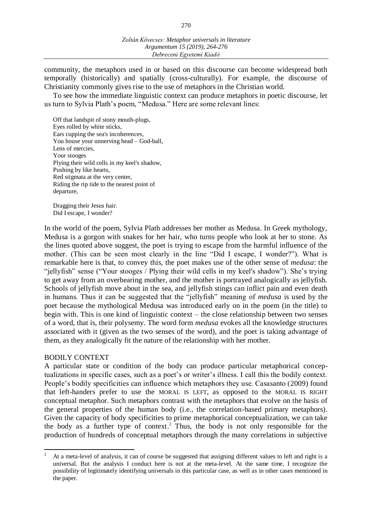community, the metaphors used in or based on this discourse can become widespread both temporally (historically) and spatially (cross-culturally). For example, the discourse of Christianity commonly gives rise to the use of metaphors in the Christian world.

To see how the immediate linguistic context can produce metaphors in poetic discourse, let us turn to Sylvia Plath's poem, "Medusa." Here are some relevant lines:

Off that landspit of stony mouth-plugs, Eyes rolled by white sticks, Ears cupping the sea's incoherences, You house your unnerving head – God-ball, Lens of mercies, Your stooges Plying their wild cells in my keel's shadow, Pushing by like hearts, Red stigmata at the very center, Riding the rip tide to the nearest point of departure,

Dragging their Jesus hair. Did I escape, I wonder?

In the world of the poem, Sylvia Plath addresses her mother as Medusa. In Greek mythology, Medusa is a gorgon with snakes for her hair, who turns people who look at her to stone. As the lines quoted above suggest, the poet is trying to escape from the harmful influence of the mother. (This can be seen most clearly in the line "Did I escape, I wonder?"). What is remarkable here is that, to convey this, the poet makes use of the other sense of *medusa*: the "jellyfish" sense ("Your stooges / Plying their wild cells in my keel's shadow"). She's trying to get away from an overbearing mother, and the mother is portrayed analogically as jellyfish. Schools of jellyfish move about in the sea, and jellyfish stings can inflict pain and even death in humans. Thus it can be suggested that the "jellyfish" meaning of *medusa* is used by the poet because the mythological Medusa was introduced early on in the poem (in the title) to begin with. This is one kind of linguistic context – the close relationship between two senses of a word, that is, their polysemy. The word form *medusa* evokes all the knowledge structures associated with it (given as the two senses of the word), and the poet is taking advantage of them, as they analogically fit the nature of the relationship with her mother.

### BODILY CONTEXT

A particular state or condition of the body can produce particular metaphorical conceptualizations in specific cases, such as a poet's or writer's illness. I call this the bodily context. People's bodily specificities can influence which metaphors they use. Casasanto (2009) found that left-handers prefer to use the MORAL IS LEFT, as opposed to the MORAL IS RIGHT conceptual metaphor. Such metaphors contrast with the metaphors that evolve on the basis of the general properties of the human body (i.e., the correlation-based primary metaphors). Given the capacity of body specificities to prime metaphorical conceptualization, we can take the body as a further type of context. <sup>2</sup> Thus, the body is not only responsible for the production of hundreds of conceptual metaphors through the many correlations in subjective

 $\overline{a}$ <sup>2</sup> At a meta-level of analysis, it can of course be suggested that assigning different values to left and right is a universal. But the analysis I conduct here is not at the meta-level. At the same time, I recognize the possibility of legitimately identifying universals in this particular case, as well as in other cases mentioned in the paper.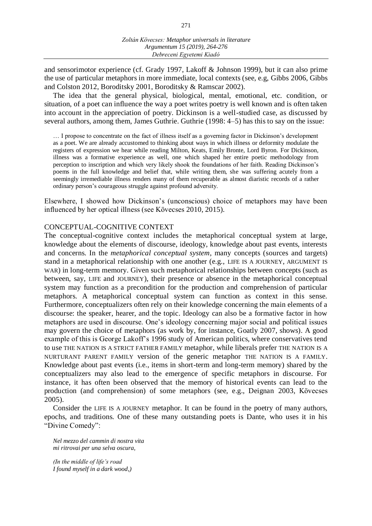and sensorimotor experience (cf. Grady 1997, Lakoff & Johnson 1999), but it can also prime the use of particular metaphors in more immediate, local contexts (see, e.g, Gibbs 2006, Gibbs and Colston 2012, Boroditsky 2001, Boroditsky & Ramscar 2002).

The idea that the general physical, biological, mental, emotional, etc. condition, or situation, of a poet can influence the way a poet writes poetry is well known and is often taken into account in the appreciation of poetry. Dickinson is a well-studied case, as discussed by several authors, among them, James Guthrie. Guthrie (1998: 4–5) has this to say on the issue:

… I propose to concentrate on the fact of illness itself as a governing factor in Dickinson's development as a poet. We are already accustomed to thinking about ways in which illness or deformity modulate the registers of expression we hear while reading Milton, Keats, Emily Bronte, Lord Byron. For Dickinson, illness was a formative experience as well, one which shaped her entire poetic methodology from perception to inscription and which very likely shook the foundations of her faith. Reading Dickinson's poems in the full knowledge and belief that, while writing them, she was suffering acutely from a seemingly irremediable illness renders many of them recuperable as almost diaristic records of a rather ordinary person's courageous struggle against profound adversity.

Elsewhere, I showed how Dickinson's (unconscious) choice of metaphors may have been influenced by her optical illness (see Kövecses 2010, 2015).

## CONCEPTUAL-COGNITIVE CONTEXT

The conceptual-cognitive context includes the metaphorical conceptual system at large, knowledge about the elements of discourse, ideology, knowledge about past events, interests and concerns. In the *metaphorical conceptual system*, many concepts (sources and targets) stand in a metaphorical relationship with one another (e.g., LIFE IS A JOURNEY, ARGUMENT IS WAR) in long-term memory. Given such metaphorical relationships between concepts (such as between, say, LIFE and JOURNEY), their presence or absence in the metaphorical conceptual system may function as a precondition for the production and comprehension of particular metaphors. A metaphorical conceptual system can function as context in this sense. Furthermore, conceptualizers often rely on their knowledge concerning the main elements of a discourse: the speaker, hearer, and the topic. Ideology can also be a formative factor in how metaphors are used in discourse. One's ideology concerning major social and political issues may govern the choice of metaphors (as work by, for instance, Goatly 2007, shows). A good example of this is George Lakoff's 1996 study of American politics, where conservatives tend to use THE NATION IS A STRICT FATHER FAMILY metaphor, while liberals prefer THE NATION IS A NURTURANT PARENT FAMILY version of the generic metaphor THE NATION IS A FAMILY. Knowledge about past events (i.e., items in short-term and long-term memory) shared by the conceptualizers may also lead to the emergence of specific metaphors in discourse. For instance, it has often been observed that the memory of historical events can lead to the production (and comprehension) of some metaphors (see, e.g., Deignan 2003, Kövecses 2005).

Consider the LIFE IS A JOURNEY metaphor. It can be found in the poetry of many authors, epochs, and traditions. One of these many outstanding poets is Dante, who uses it in his "Divine Comedy":

*Nel mezzo del cammin di nostra vita mi ritrovai per una selva oscura,*

*(In the middle of life's road I found myself in a dark wood,)*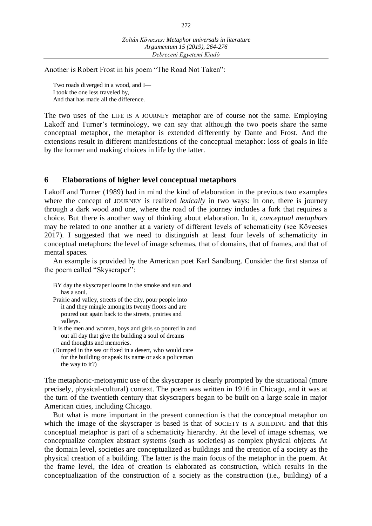Another is Robert Frost in his poem "The Road Not Taken":

Two roads diverged in a wood, and I— I took the one less traveled by, And that has made all the difference.

The two uses of the LIFE IS A JOURNEY metaphor are of course not the same. Employing Lakoff and Turner's terminology, we can say that although the two poets share the same conceptual metaphor, the metaphor is extended differently by Dante and Frost. And the extensions result in different manifestations of the conceptual metaphor: loss of goals in life by the former and making choices in life by the latter.

## **6 Elaborations of higher level conceptual metaphors**

Lakoff and Turner (1989) had in mind the kind of elaboration in the previous two examples where the concept of JOURNEY is realized *lexically* in two ways: in one, there is journey through a dark wood and one, where the road of the journey includes a fork that requires a choice. But there is another way of thinking about elaboration. In it, *conceptual metaphors* may be related to one another at a variety of different levels of schematicity (see Kövecses 2017). I suggested that we need to distinguish at least four levels of schematicity in conceptual metaphors: the level of image schemas, that of domains, that of frames, and that of mental spaces.

An example is provided by the American poet Karl Sandburg. Consider the first stanza of the poem called "Skyscraper":

- BY day the skyscraper looms in the smoke and sun and has a soul.
- Prairie and valley, streets of the city, pour people into it and they mingle among its twenty floors and are poured out again back to the streets, prairies and valleys.
- It is the men and women, boys and girls so poured in and out all day that give the building a soul of dreams and thoughts and memories.
- (Dumped in the sea or fixed in a desert, who would care for the building or speak its name or ask a policeman the way to it?)

The metaphoric-metonymic use of the skyscraper is clearly prompted by the situational (more precisely, physical-cultural) context. The poem was written in 1916 in Chicago, and it was at the turn of the twentieth century that skyscrapers began to be built on a large scale in major American cities, including Chicago.

But what is more important in the present connection is that the conceptual metaphor on which the image of the skyscraper is based is that of SOCIETY IS A BUILDING and that this conceptual metaphor is part of a schematicity hierarchy. At the level of image schemas, we conceptualize complex abstract systems (such as societies) as complex physical objects. At the domain level, societies are conceptualized as buildings and the creation of a society as the physical creation of a building. The latter is the main focus of the metaphor in the poem. At the frame level, the idea of creation is elaborated as construction, which results in the conceptualization of the construction of a society as the construction (i.e., building) of a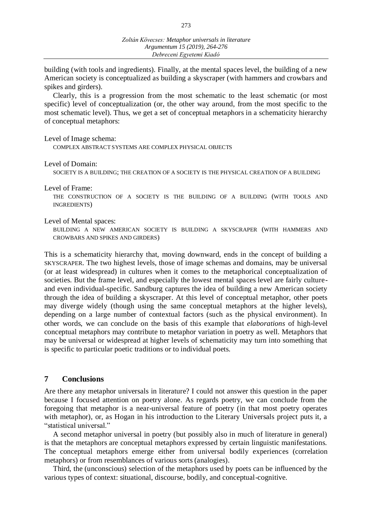building (with tools and ingredients). Finally, at the mental spaces level, the building of a new American society is conceptualized as building a skyscraper (with hammers and crowbars and spikes and girders).

Clearly, this is a progression from the most schematic to the least schematic (or most specific) level of conceptualization (or, the other way around, from the most specific to the most schematic level). Thus, we get a set of conceptual metaphors in a schematicity hierarchy of conceptual metaphors:

#### Level of Image schema:

COMPLEX ABSTRACT SYSTEMS ARE COMPLEX PHYSICAL OBJECTS

#### Level of Domain:

SOCIETY IS A BUILDING; THE CREATION OF A SOCIETY IS THE PHYSICAL CREATION OF A BUILDING

Level of Frame:

THE CONSTRUCTION OF A SOCIETY IS THE BUILDING OF A BUILDING (WITH TOOLS AND INGREDIENTS)

Level of Mental spaces:

BUILDING A NEW AMERICAN SOCIETY IS BUILDING A SKYSCRAPER (WITH HAMMERS AND CROWBARS AND SPIKES AND GIRDERS)

This is a schematicity hierarchy that, moving downward, ends in the concept of building a SKYSCRAPER. The two highest levels, those of image schemas and domains, may be universal (or at least widespread) in cultures when it comes to the metaphorical conceptualization of societies. But the frame level, and especially the lowest mental spaces level are fairly cultureand even individual-specific. Sandburg captures the idea of building a new American society through the idea of building a skyscraper. At this level of conceptual metaphor, other poets may diverge widely (though using the same conceptual metaphors at the higher levels), depending on a large number of contextual factors (such as the physical environment). In other words, we can conclude on the basis of this example that *elaborations* of high-level conceptual metaphors may contribute to metaphor variation in poetry as well. Metaphors that may be universal or widespread at higher levels of schematicity may turn into something that is specific to particular poetic traditions or to individual poets.

### **7 Conclusions**

Are there any metaphor universals in literature? I could not answer this question in the paper because I focused attention on poetry alone. As regards poetry, we can conclude from the foregoing that metaphor is a near-universal feature of poetry (in that most poetry operates with metaphor), or, as Hogan in his introduction to the Literary Universals project puts it, a "statistical universal."

A second metaphor universal in poetry (but possibly also in much of literature in general) is that the metaphors are conceptual metaphors expressed by certain linguistic manifestations. The conceptual metaphors emerge either from universal bodily experiences (correlation metaphors) or from resemblances of various sorts (analogies).

Third, the (unconscious) selection of the metaphors used by poets can be influenced by the various types of context: situational, discourse, bodily, and conceptual-cognitive.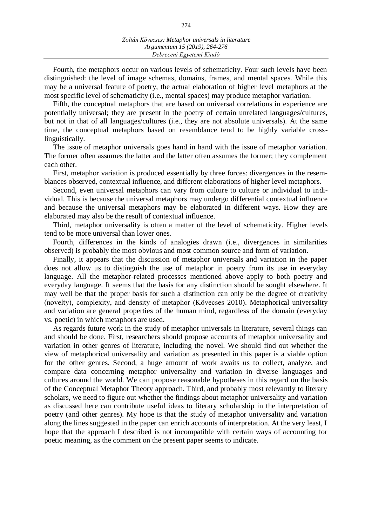Fourth, the metaphors occur on various levels of schematicity. Four such levels have been distinguished: the level of image schemas, domains, frames, and mental spaces. While this may be a universal feature of poetry, the actual elaboration of higher level metaphors at the most specific level of schematicity (i.e., mental spaces) may produce metaphor variation.

Fifth, the conceptual metaphors that are based on universal correlations in experience are potentially universal; they are present in the poetry of certain unrelated languages/cultures, but not in that of all languages/cultures (i.e., they are not absolute universals). At the same time, the conceptual metaphors based on resemblance tend to be highly variable crosslinguistically.

The issue of metaphor universals goes hand in hand with the issue of metaphor variation. The former often assumes the latter and the latter often assumes the former; they complement each other.

First, metaphor variation is produced essentially by three forces: divergences in the resemblances observed, contextual influence, and different elaborations of higher level metaphors.

Second, even universal metaphors can vary from culture to culture or individual to individual. This is because the universal metaphors may undergo differential contextual influence and because the universal metaphors may be elaborated in different ways. How they are elaborated may also be the result of contextual influence.

Third, metaphor universality is often a matter of the level of schematicity. Higher levels tend to be more universal than lower ones.

Fourth, differences in the kinds of analogies drawn (i.e., divergences in similarities observed) is probably the most obvious and most common source and form of variation.

Finally, it appears that the discussion of metaphor universals and variation in the paper does not allow us to distinguish the use of metaphor in poetry from its use in everyday language. All the metaphor-related processes mentioned above apply to both poetry and everyday language. It seems that the basis for any distinction should be sought elsewhere. It may well be that the proper basis for such a distinction can only be the degree of creativity (novelty), complexity, and density of metaphor (Kövecses 2010). Metaphorical universality and variation are general properties of the human mind, regardless of the domain (everyday vs. poetic) in which metaphors are used.

As regards future work in the study of metaphor universals in literature, several things can and should be done. First, researchers should propose accounts of metaphor universality and variation in other genres of literature, including the novel. We should find out whether the view of metaphorical universality and variation as presented in this paper is a viable option for the other genres. Second, a huge amount of work awaits us to collect, analyze, and compare data concerning metaphor universality and variation in diverse languages and cultures around the world. We can propose reasonable hypotheses in this regard on the ba sis of the Conceptual Metaphor Theory approach. Third, and probably most relevantly to literary scholars, we need to figure out whether the findings about metaphor universality and variation as discussed here can contribute useful ideas to literary scholarship in the interpretation of poetry (and other genres). My hope is that the study of metaphor universality and variation along the lines suggested in the paper can enrich accounts of interpretation. At the very least, I hope that the approach I described is not incompatible with certain ways of accounting for poetic meaning, as the comment on the present paper seems to indicate.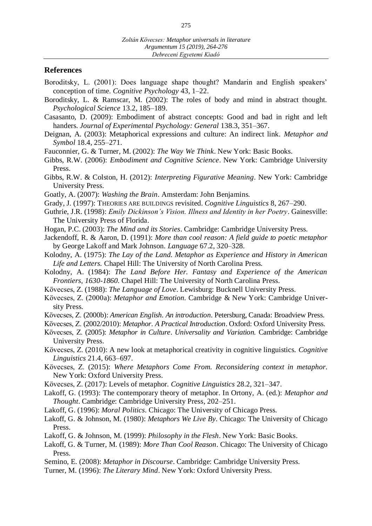## **References**

- Boroditsky, L. (2001): Does language shape thought? Mandarin and English speakers' conception of time. *Cognitive Psychology* 43, 1–22.
- Boroditsky, L. & Ramscar, M. (2002): The roles of body and mind in abstract thought. *Psychological Science* 13.2, 185–189.
- Casasanto, D. (2009): Embodiment of abstract concepts: Good and bad in right and left handers. *Journal of Experimental Psychology: General* 138.3, 351–367.
- Deignan, A. (2003): Metaphorical expressions and culture: An indirect link. *Metaphor and Symbol* 18.4, 255–271.
- Fauconnier, G. & Turner, M. (2002): *The Way We Think*. New York: Basic Books.
- Gibbs, R.W. (2006): *Embodiment and Cognitive Science*. New York: Cambridge University Press.
- Gibbs, R.W. & Colston, H. (2012): *Interpreting Figurative Meaning*. New York: Cambridge University Press.
- Goatly, A. (2007): *Washing the Brain*. Amsterdam: John Benjamins.
- Grady, J. (1997): THEORIES ARE BUILDINGS revisited. *Cognitive Linguistics* 8, 267–290.
- Guthrie, J.R. (1998): *Emily Dickinson's Vision. Illness and Identity in her Poetry*. Gainesville: The University Press of Florida.
- Hogan, P.C. (2003): *The Mind and its Stories*. Cambridge: Cambridge University Press.
- Jackendoff, R. & Aaron, D. (1991): *More than cool reason: A field guide to poetic metaphor* by George Lakoff and Mark Johnson. *Language* 67.2, 320–328.
- Kolodny, A. (1975): *The Lay of the Land. Metaphor as Experience and History in American Life and Letters.* Chapel Hill: The University of North Carolina Press.
- Kolodny, A. (1984): *The Land Before Her. Fantasy and Experience of the American Frontiers, 1630-1860.* Chapel Hill: The University of North Carolina Press.
- Kövecses, Z. (1988): *The Language of Love*. Lewisburg: Bucknell University Press.
- Kövecses, Z. (2000a): *Metaphor and Emotion.* Cambridge & New York: Cambridge University Press.
- Kövecses, Z. (2000b): *American English. An introduction*. Petersburg, Canada: Broadview Press.
- Kövecses, Z. (2002/2010): *Metaphor. A Practical Introduction*. Oxford: Oxford University Press.
- Kövecses, Z. (2005): *Metaphor in Culture*. *Universality and Variation.* Cambridge: Cambridge University Press.
- Kövecses, Z. (2010): A new look at metaphorical creativity in cognitive linguistics. *Cognitive Linguistics* 21.4, 663–697.
- Kövecses, Z. (2015): *Where Metaphors Come From. Reconsidering context in metaphor.*  New York: Oxford University Press.
- Kövecses, Z. (2017): Levels of metaphor. *Cognitive Linguistics* 28.2, 321–347.
- Lakoff, G. (1993): The contemporary theory of metaphor. In Ortony, A. (ed.): *Metaphor and Thought*. Cambridge: Cambridge University Press, 202–251.
- Lakoff, G. (1996): *Moral Politics*. Chicago: The University of Chicago Press.
- Lakoff, G. & Johnson, M. (1980): *Metaphors We Live By*. Chicago: The University of Chicago Press.
- Lakoff, G. & Johnson, M. (1999): *Philosophy in the Flesh*. New York: Basic Books.
- Lakoff, G. & Turner, M. (1989): *More Than Cool Reason*. Chicago: The University of Chicago Press.
- Semino, E. (2008): *Metaphor in Discourse*. Cambridge: Cambridge University Press.
- Turner, M. (1996): *The Literary Mind*. New York: Oxford University Press.